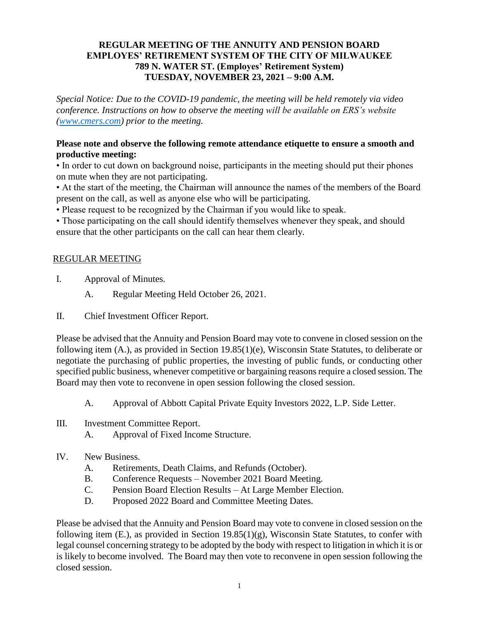## **REGULAR MEETING OF THE ANNUITY AND PENSION BOARD EMPLOYES' RETIREMENT SYSTEM OF THE CITY OF MILWAUKEE 789 N. WATER ST. (Employes' Retirement System) TUESDAY, NOVEMBER 23, 2021 – 9:00 A.M.**

*Special Notice: Due to the COVID-19 pandemic, the meeting will be held remotely via video conference. Instructions on how to observe the meeting will be available on ERS's website [\(www.cmers.com\)](http://www.cmers.com/) prior to the meeting.*

#### **Please note and observe the following remote attendance etiquette to ensure a smooth and productive meeting:**

• In order to cut down on background noise, participants in the meeting should put their phones on mute when they are not participating.

• At the start of the meeting, the Chairman will announce the names of the members of the Board present on the call, as well as anyone else who will be participating.

• Please request to be recognized by the Chairman if you would like to speak.

• Those participating on the call should identify themselves whenever they speak, and should ensure that the other participants on the call can hear them clearly.

## REGULAR MEETING

- I. Approval of Minutes.
	- A. Regular Meeting Held October 26, 2021.
- II. Chief Investment Officer Report.

Please be advised that the Annuity and Pension Board may vote to convene in closed session on the following item (A.), as provided in Section 19.85(1)(e), Wisconsin State Statutes, to deliberate or negotiate the purchasing of public properties, the investing of public funds, or conducting other specified public business, whenever competitive or bargaining reasons require a closed session. The Board may then vote to reconvene in open session following the closed session.

A. Approval of Abbott Capital Private Equity Investors 2022, L.P. Side Letter.

- III. Investment Committee Report.
	- A. Approval of Fixed Income Structure.

## IV. New Business.

- A. Retirements, Death Claims, and Refunds (October).
- B. Conference Requests November 2021 Board Meeting.
- C. Pension Board Election Results At Large Member Election.
- D. Proposed 2022 Board and Committee Meeting Dates.

Please be advised that the Annuity and Pension Board may vote to convene in closed session on the following item (E.), as provided in Section 19.85(1)(g), Wisconsin State Statutes, to confer with legal counsel concerning strategy to be adopted by the body with respect to litigation in which it is or is likely to become involved. The Board may then vote to reconvene in open session following the closed session.